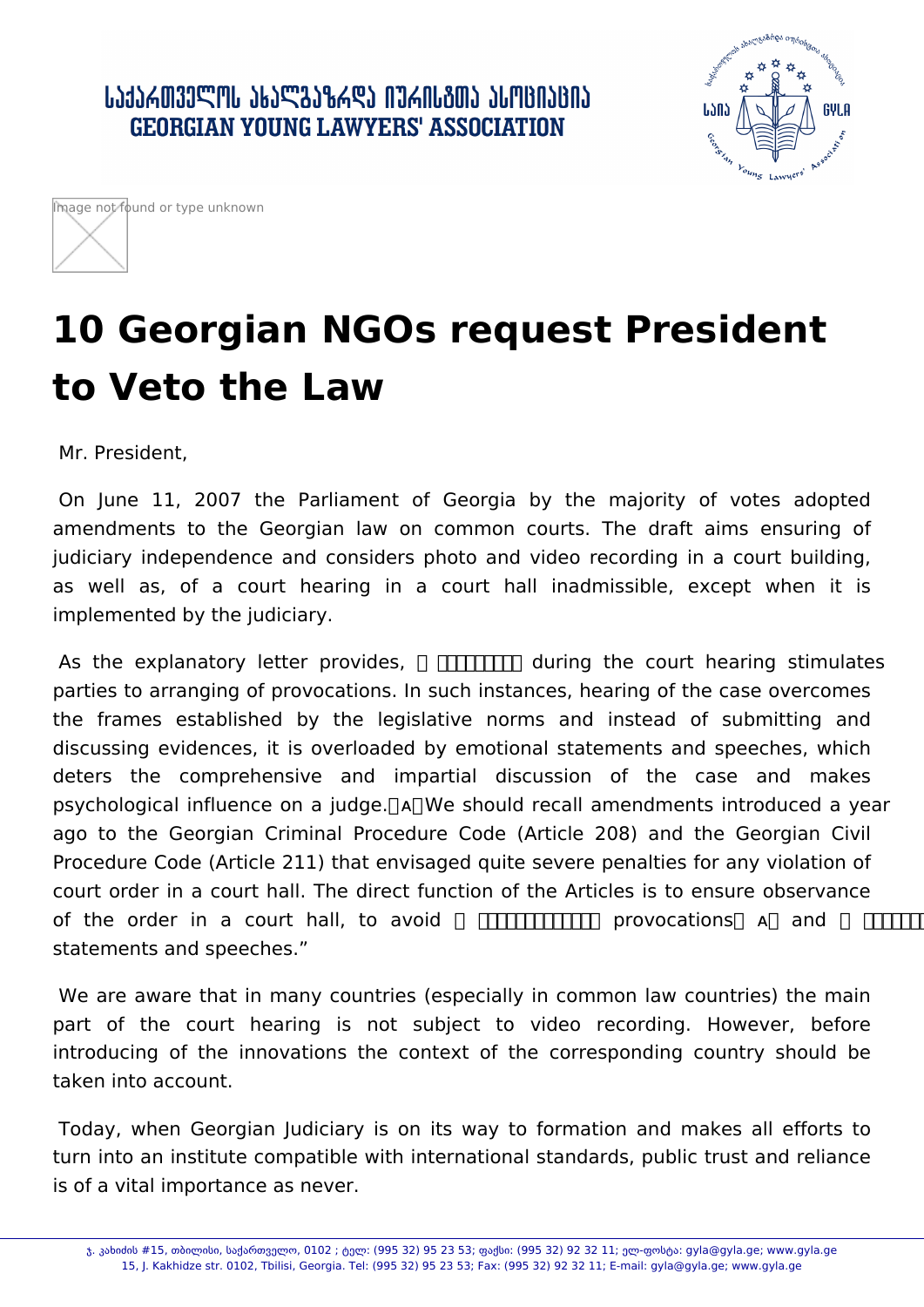



## **10 Georgian NGOs request President to Veto the Law**

Mr. President,

 On June 11, 2007 the Parliament of Georgia by the majority of votes adopted amendments to the Georgian law on common courts. The draft aims ensuring of judiciary independence and considers photo and video recording in a court building, as well as, of a court hearing in a court hall inadmissible, except when it is implemented by the judiciary.

 As the explanatory letter provides, ᰀ挀愀洀攀爀愀猀 during the court hearing stimulates parties to arranging of provocations. In such instances, hearing of the case overcomes the frames established by the legislative norms and instead of submitting and discussing evidences, it is overloaded by emotional statements and speeches, which deters the comprehensive and impartial discussion of the case and makes psychological influence on a judge. ᴀ We should recall amendments introduced a year ago to the Georgian Criminal Procedure Code (Article 208) and the Georgian Civil Procedure Code (Article 211) that envisaged quite severe penalties for any violation of court order in a court hall. The direct function of the Articles is to ensure observance of the order in a court hall, to avoid **FITHELITHE provocations A** and **FITHELITH** statements and speeches."

 We are aware that in many countries (especially in common law countries) the main part of the court hearing is not subject to video recording. However, before introducing of the innovations the context of the corresponding country should be taken into account.

 Today, when Georgian Judiciary is on its way to formation and makes all efforts to turn into an institute compatible with international standards, public trust and reliance is of a vital importance as never.

ჯ. კახიძის #15, თბილისი, საქართველო, 0102 ; ტელ: (995 32) 95 23 53; ფაქსი: (995 32) 92 32 11; ელ-ფოსტა: gyla@gyla.ge; www.gyla.ge 15, J. Kakhidze str. 0102, Tbilisi, Georgia. Tel: (995 32) 95 23 53; Fax: (995 32) 92 32 11; E-mail: gyla@gyla.ge; www.gyla.ge